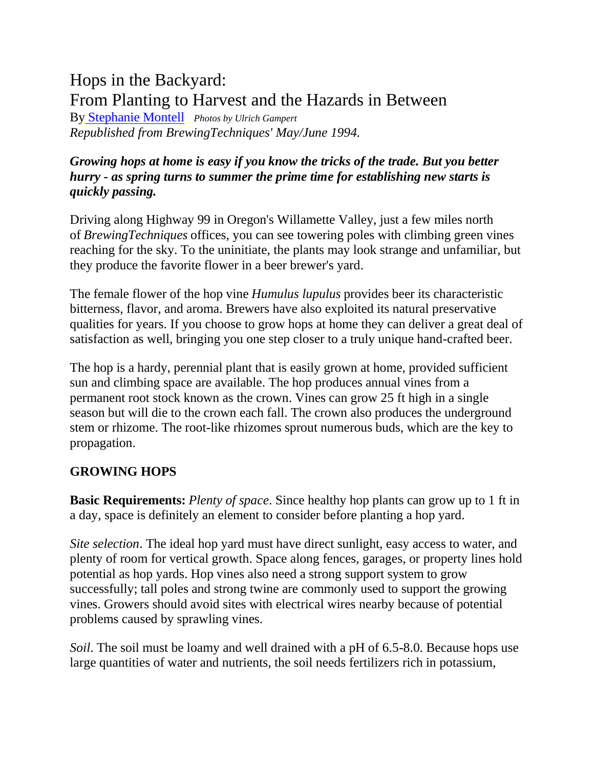# Hops in the Backyard: From Planting to Harvest and the Hazards in Between

By [Stephanie Montell](http://morebeer.com/library/authors/montell.html) *Photos by Ulrich Gampert Republished from BrewingTechniques' May/June 1994.*

### *Growing hops at home is easy if you know the tricks of the trade. But you better hurry - as spring turns to summer the prime time for establishing new starts is quickly passing.*

Driving along Highway 99 in Oregon's Willamette Valley, just a few miles north of *BrewingTechniques* offices, you can see towering poles with climbing green vines reaching for the sky. To the uninitiate, the plants may look strange and unfamiliar, but they produce the favorite flower in a beer brewer's yard.

The female flower of the hop vine *Humulus lupulus* provides beer its characteristic bitterness, flavor, and aroma. Brewers have also exploited its natural preservative qualities for years. If you choose to grow hops at home they can deliver a great deal of satisfaction as well, bringing you one step closer to a truly unique hand-crafted beer.

The hop is a hardy, perennial plant that is easily grown at home, provided sufficient sun and climbing space are available. The hop produces annual vines from a permanent root stock known as the crown. Vines can grow 25 ft high in a single season but will die to the crown each fall. The crown also produces the underground stem or rhizome. The root-like rhizomes sprout numerous buds, which are the key to propagation.

#### **GROWING HOPS**

**Basic Requirements:** *Plenty of space*. Since healthy hop plants can grow up to 1 ft in a day, space is definitely an element to consider before planting a hop yard.

*Site selection*. The ideal hop yard must have direct sunlight, easy access to water, and plenty of room for vertical growth. Space along fences, garages, or property lines hold potential as hop yards. Hop vines also need a strong support system to grow successfully; tall poles and strong twine are commonly used to support the growing vines. Growers should avoid sites with electrical wires nearby because of potential problems caused by sprawling vines.

*Soil*. The soil must be loamy and well drained with a pH of 6.5-8.0. Because hops use large quantities of water and nutrients, the soil needs fertilizers rich in potassium,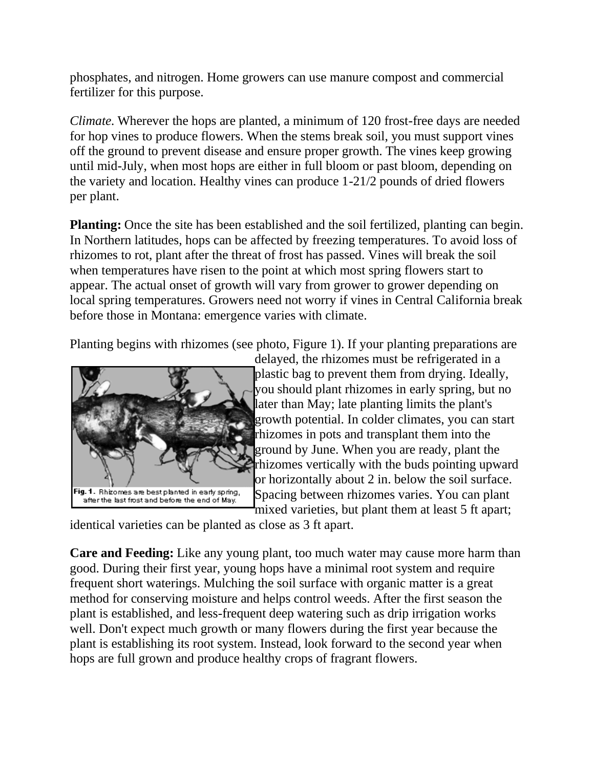phosphates, and nitrogen. Home growers can use manure compost and commercial fertilizer for this purpose.

*Climate.* Wherever the hops are planted, a minimum of 120 frost-free days are needed for hop vines to produce flowers. When the stems break soil, you must support vines off the ground to prevent disease and ensure proper growth. The vines keep growing until mid-July, when most hops are either in full bloom or past bloom, depending on the variety and location. Healthy vines can produce 1-21/2 pounds of dried flowers per plant.

**Planting:** Once the site has been established and the soil fertilized, planting can begin. In Northern latitudes, hops can be affected by freezing temperatures. To avoid loss of rhizomes to rot, plant after the threat of frost has passed. Vines will break the soil when temperatures have risen to the point at which most spring flowers start to appear. The actual onset of growth will vary from grower to grower depending on local spring temperatures. Growers need not worry if vines in Central California break before those in Montana: emergence varies with climate.

Planting begins with rhizomes (see photo, Figure 1). If your planting preparations are



delayed, the rhizomes must be refrigerated in a plastic bag to prevent them from drying. Ideally, you should plant rhizomes in early spring, but no later than May; late planting limits the plant's growth potential. In colder climates, you can start rhizomes in pots and transplant them into the ground by June. When you are ready, plant the rhizomes vertically with the buds pointing upward or horizontally about 2 in. below the soil surface. Spacing between rhizomes varies. You can plant mixed varieties, but plant them at least 5 ft apart;

identical varieties can be planted as close as 3 ft apart.

**Care and Feeding:** Like any young plant, too much water may cause more harm than good. During their first year, young hops have a minimal root system and require frequent short waterings. Mulching the soil surface with organic matter is a great method for conserving moisture and helps control weeds. After the first season the plant is established, and less-frequent deep watering such as drip irrigation works well. Don't expect much growth or many flowers during the first year because the plant is establishing its root system. Instead, look forward to the second year when hops are full grown and produce healthy crops of fragrant flowers.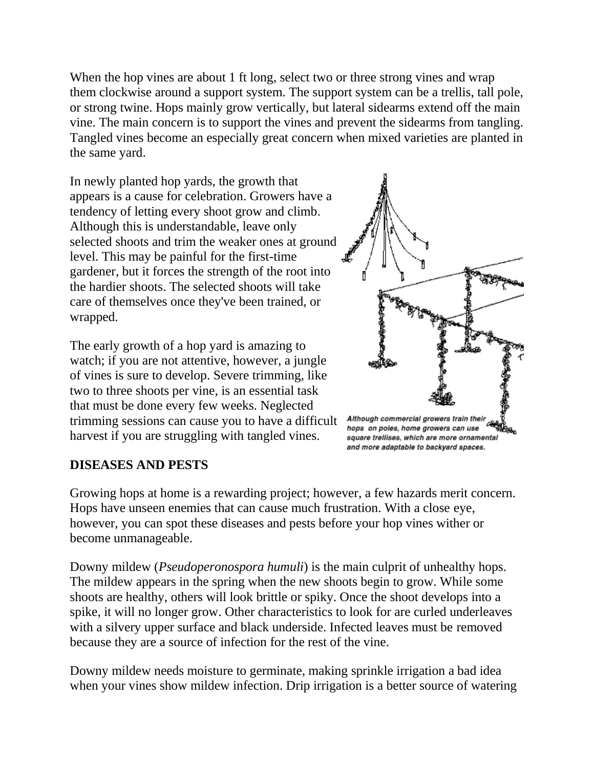When the hop vines are about 1 ft long, select two or three strong vines and wrap them clockwise around a support system. The support system can be a trellis, tall pole, or strong twine. Hops mainly grow vertically, but lateral sidearms extend off the main vine. The main concern is to support the vines and prevent the sidearms from tangling. Tangled vines become an especially great concern when mixed varieties are planted in the same yard.

In newly planted hop yards, the growth that appears is a cause for celebration. Growers have a tendency of letting every shoot grow and climb. Although this is understandable, leave only selected shoots and trim the weaker ones at ground level. This may be painful for the first-time gardener, but it forces the strength of the root into the hardier shoots. The selected shoots will take care of themselves once they've been trained, or wrapped.

The early growth of a hop yard is amazing to watch; if you are not attentive, however, a jungle of vines is sure to develop. Severe trimming, like two to three shoots per vine, is an essential task that must be done every few weeks. Neglected trimming sessions can cause you to have a difficult harvest if you are struggling with tangled vines.



Although commercial growers train their<br>And a policy of the policy of the policy of the policy of the policy of the policy of the policy of the policy<br>bops on poles, home growers can use square trellises, which are more ornamental and more adaptable to backyard spaces.

#### **DISEASES AND PESTS**

Growing hops at home is a rewarding project; however, a few hazards merit concern. Hops have unseen enemies that can cause much frustration. With a close eye, however, you can spot these diseases and pests before your hop vines wither or become unmanageable.

Downy mildew (*Pseudoperonospora humuli*) is the main culprit of unhealthy hops. The mildew appears in the spring when the new shoots begin to grow. While some shoots are healthy, others will look brittle or spiky. Once the shoot develops into a spike, it will no longer grow. Other characteristics to look for are curled underleaves with a silvery upper surface and black underside. Infected leaves must be removed because they are a source of infection for the rest of the vine.

Downy mildew needs moisture to germinate, making sprinkle irrigation a bad idea when your vines show mildew infection. Drip irrigation is a better source of watering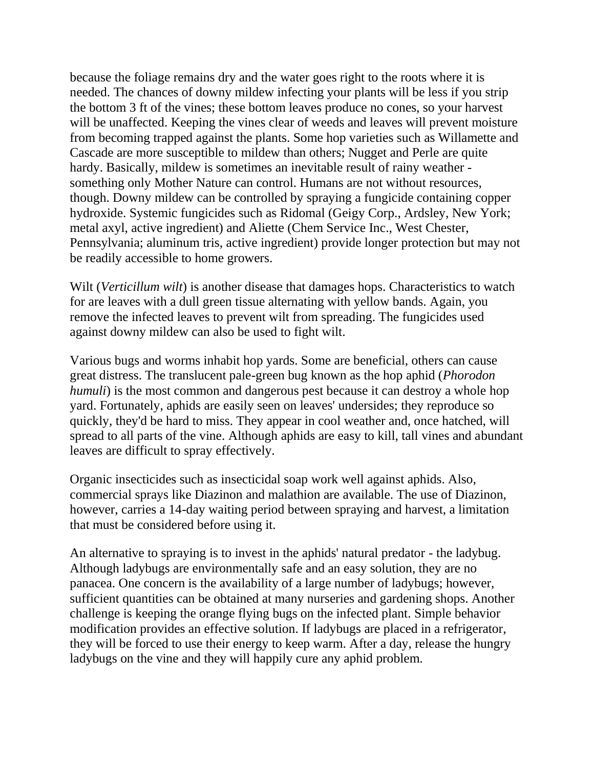because the foliage remains dry and the water goes right to the roots where it is needed. The chances of downy mildew infecting your plants will be less if you strip the bottom 3 ft of the vines; these bottom leaves produce no cones, so your harvest will be unaffected. Keeping the vines clear of weeds and leaves will prevent moisture from becoming trapped against the plants. Some hop varieties such as Willamette and Cascade are more susceptible to mildew than others; Nugget and Perle are quite hardy. Basically, mildew is sometimes an inevitable result of rainy weather something only Mother Nature can control. Humans are not without resources, though. Downy mildew can be controlled by spraying a fungicide containing copper hydroxide. Systemic fungicides such as Ridomal (Geigy Corp., Ardsley, New York; metal axyl, active ingredient) and Aliette (Chem Service Inc., West Chester, Pennsylvania; aluminum tris, active ingredient) provide longer protection but may not be readily accessible to home growers.

Wilt (*Verticillum wilt*) is another disease that damages hops. Characteristics to watch for are leaves with a dull green tissue alternating with yellow bands. Again, you remove the infected leaves to prevent wilt from spreading. The fungicides used against downy mildew can also be used to fight wilt.

Various bugs and worms inhabit hop yards. Some are beneficial, others can cause great distress. The translucent pale-green bug known as the hop aphid (*Phorodon humuli*) is the most common and dangerous pest because it can destroy a whole hop yard. Fortunately, aphids are easily seen on leaves' undersides; they reproduce so quickly, they'd be hard to miss. They appear in cool weather and, once hatched, will spread to all parts of the vine. Although aphids are easy to kill, tall vines and abundant leaves are difficult to spray effectively.

Organic insecticides such as insecticidal soap work well against aphids. Also, commercial sprays like Diazinon and malathion are available. The use of Diazinon, however, carries a 14-day waiting period between spraying and harvest, a limitation that must be considered before using it.

An alternative to spraying is to invest in the aphids' natural predator - the ladybug. Although ladybugs are environmentally safe and an easy solution, they are no panacea. One concern is the availability of a large number of ladybugs; however, sufficient quantities can be obtained at many nurseries and gardening shops. Another challenge is keeping the orange flying bugs on the infected plant. Simple behavior modification provides an effective solution. If ladybugs are placed in a refrigerator, they will be forced to use their energy to keep warm. After a day, release the hungry ladybugs on the vine and they will happily cure any aphid problem.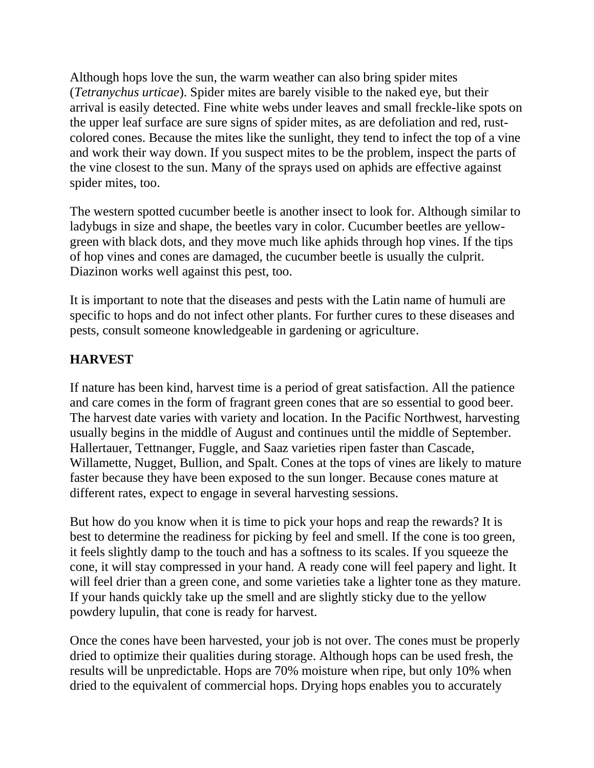Although hops love the sun, the warm weather can also bring spider mites (*Tetranychus urticae*). Spider mites are barely visible to the naked eye, but their arrival is easily detected. Fine white webs under leaves and small freckle-like spots on the upper leaf surface are sure signs of spider mites, as are defoliation and red, rustcolored cones. Because the mites like the sunlight, they tend to infect the top of a vine and work their way down. If you suspect mites to be the problem, inspect the parts of the vine closest to the sun. Many of the sprays used on aphids are effective against spider mites, too.

The western spotted cucumber beetle is another insect to look for. Although similar to ladybugs in size and shape, the beetles vary in color. Cucumber beetles are yellowgreen with black dots, and they move much like aphids through hop vines. If the tips of hop vines and cones are damaged, the cucumber beetle is usually the culprit. Diazinon works well against this pest, too.

It is important to note that the diseases and pests with the Latin name of humuli are specific to hops and do not infect other plants. For further cures to these diseases and pests, consult someone knowledgeable in gardening or agriculture.

## **HARVEST**

If nature has been kind, harvest time is a period of great satisfaction. All the patience and care comes in the form of fragrant green cones that are so essential to good beer. The harvest date varies with variety and location. In the Pacific Northwest, harvesting usually begins in the middle of August and continues until the middle of September. Hallertauer, Tettnanger, Fuggle, and Saaz varieties ripen faster than Cascade, Willamette, Nugget, Bullion, and Spalt. Cones at the tops of vines are likely to mature faster because they have been exposed to the sun longer. Because cones mature at different rates, expect to engage in several harvesting sessions.

But how do you know when it is time to pick your hops and reap the rewards? It is best to determine the readiness for picking by feel and smell. If the cone is too green, it feels slightly damp to the touch and has a softness to its scales. If you squeeze the cone, it will stay compressed in your hand. A ready cone will feel papery and light. It will feel drier than a green cone, and some varieties take a lighter tone as they mature. If your hands quickly take up the smell and are slightly sticky due to the yellow powdery lupulin, that cone is ready for harvest.

Once the cones have been harvested, your job is not over. The cones must be properly dried to optimize their qualities during storage. Although hops can be used fresh, the results will be unpredictable. Hops are 70% moisture when ripe, but only 10% when dried to the equivalent of commercial hops. Drying hops enables you to accurately